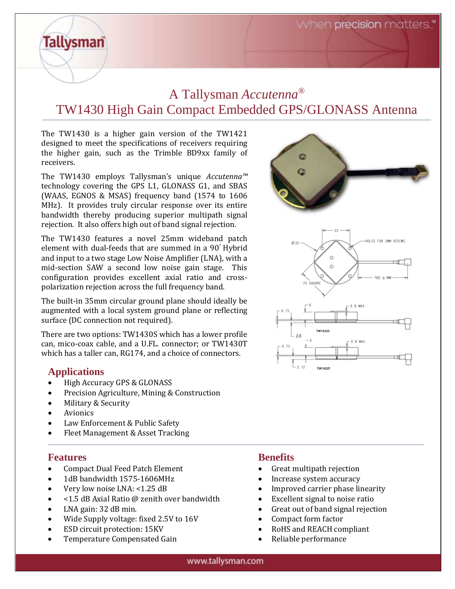When **precision** matters."

## A Tallysman *Accutenna®* TW1430 High Gain Compact Embedded GPS/GLONASS Antenna

The TW1430 is a higher gain version of the TW1421 designed to meet the specifications of receivers requiring the higher gain, such as the Trimble BD9xx family of receivers.

The TW1430 employs Tallysman's unique *Accutenna™* technology covering the GPS L1, GLONASS G1, and SBAS (WAAS, EGNOS & MSAS) frequency band (1574 to 1606 MHz). It provides truly circular response over its entire bandwidth thereby producing superior multipath signal rejection. It also offers high out of band signal rejection.

The TW1430 features a novel 25mm wideband patch element with dual-feeds that are summed in a 90° Hybrid and input to a two stage Low Noise Amplifier (LNA), with a mid-section SAW a second low noise gain stage. This configuration provides excellent axial ratio and crosspolarization rejection across the full frequency band.

The built-in 35mm circular ground plane should ideally be augmented with a local system ground plane or reflecting surface (DC connection not required).

There are two options: TW1430S which has a lower profile can, mico-coax cable, and a U.FL. connector; or TW1430T which has a taller can, RG174, and a choice of connectors.

## **Applications**

**Tallysman** 

- **Explorations**<br>• High Accuracy GPS & GLONASS  $\bullet$  - fugh accuracy grs & GLONASS
	- **•** Precision Agriculture, Mining & Construction
	- Military & Security
	- Avionics
	- Law Enforcement & Public Safety
	- Fleet Management & Asset Tracking

## **Features**

- Compact Dual Feed Patch Element
- 1dB bandwidth 1575-1606MHz
- Very low noise LNA: <1.25 dB
- <1.5 dB Axial Ratio @ zenith over bandwidth
- LNA gain: 32 dB min.
- Wide Supply voltage: fixed 2.5V to 16V
- ESD circuit protection: 15KV
- Temperature Compensated Gain

## **Benefits**

- Great multipath rejection
- Increase system accuracy
- Improved carrier phase linearity
- Excellent signal to noise ratio
- Great out of band signal rejection
- Compact form factor
- RoHS and REACH compliant
- Reliable performance